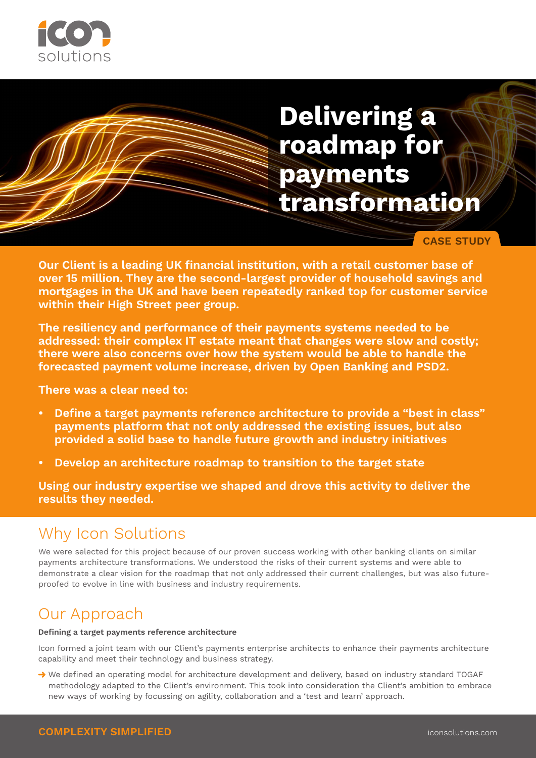

# **Delivering a roadmap for payments transformation**

**CASE STUDY**

**Our Client is a leading UK financial institution, with a retail customer base of over 15 million. They are the second-largest provider of household savings and mortgages in the UK and have been repeatedly ranked top for customer service within their High Street peer group.** 

**The resiliency and performance of their payments systems needed to be addressed: their complex IT estate meant that changes were slow and costly; there were also concerns over how the system would be able to handle the forecasted payment volume increase, driven by Open Banking and PSD2.** 

**There was a clear need to:**

- **• Define a target payments reference architecture to provide a "best in class" payments platform that not only addressed the existing issues, but also provided a solid base to handle future growth and industry initiatives**
- **• Develop an architecture roadmap to transition to the target state**

**Using our industry expertise we shaped and drove this activity to deliver the results they needed.** 

## Why Icon Solutions

We were selected for this project because of our proven success working with other banking clients on similar payments architecture transformations. We understood the risks of their current systems and were able to demonstrate a clear vision for the roadmap that not only addressed their current challenges, but was also futureproofed to evolve in line with business and industry requirements.

## Our Approach

#### **Defining a target payments reference architecture**

Icon formed a joint team with our Client's payments enterprise architects to enhance their payments architecture capability and meet their technology and business strategy.

→ We defined an operating model for architecture development and delivery, based on industry standard TOGAF methodology adapted to the Client's environment. This took into consideration the Client's ambition to embrace new ways of working by focussing on agility, collaboration and a 'test and learn' approach.